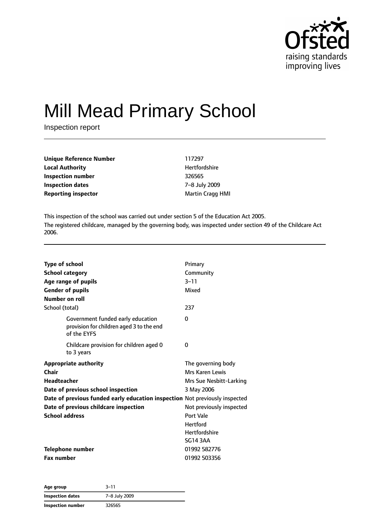

# Mill Mead Primary School

Inspection report

| <b>Unique Reference Number</b> | 117297                  |
|--------------------------------|-------------------------|
| <b>Local Authority</b>         | Hertfordshire           |
| Inspection number              | 326565                  |
| Inspection dates               | 7-8 July 2009           |
| <b>Reporting inspector</b>     | <b>Martin Cragg HMI</b> |

This inspection of the school was carried out under section 5 of the Education Act 2005. The registered childcare, managed by the governing body, was inspected under section 49 of the Childcare Act 2006.

| <b>Type of school</b><br><b>School category</b><br>Age range of pupils<br><b>Gender of pupils</b><br>Number on roll<br>School (total)                                                                                                              | Primary<br>Community<br>$3 - 11$<br>Mixed<br>237                                                                                                                                      |
|----------------------------------------------------------------------------------------------------------------------------------------------------------------------------------------------------------------------------------------------------|---------------------------------------------------------------------------------------------------------------------------------------------------------------------------------------|
| Government funded early education<br>provision for children aged 3 to the end<br>of the EYFS                                                                                                                                                       | $\Omega$                                                                                                                                                                              |
| Childcare provision for children aged 0<br>to 3 years                                                                                                                                                                                              | 0                                                                                                                                                                                     |
| <b>Appropriate authority</b><br>Chair<br><b>Headteacher</b><br>Date of previous school inspection<br>Date of previous funded early education inspection Not previously inspected<br>Date of previous childcare inspection<br><b>School address</b> | The governing body<br>Mrs Karen Lewis<br>Mrs Sue Nesbitt-Larking<br>3 May 2006<br>Not previously inspected<br>Port Vale<br><b>Hertford</b><br><b>Hertfordshire</b><br><b>SG14 3AA</b> |
| <b>Telephone number</b><br><b>Fax number</b>                                                                                                                                                                                                       | 01992 582776<br>01992 503356                                                                                                                                                          |

| Age group               | $3 - 11$      |
|-------------------------|---------------|
| <b>Inspection dates</b> | 7-8 July 2009 |
| Inspection number       | 326565        |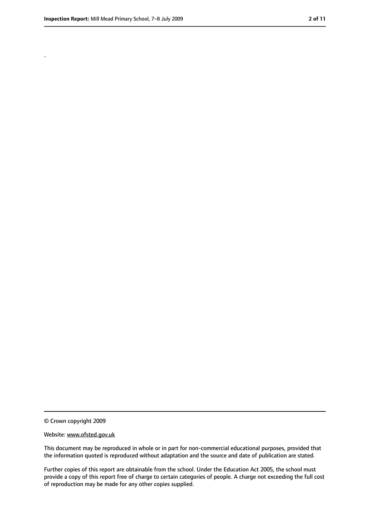.

<sup>©</sup> Crown copyright 2009

Website: www.ofsted.gov.uk

This document may be reproduced in whole or in part for non-commercial educational purposes, provided that the information quoted is reproduced without adaptation and the source and date of publication are stated.

Further copies of this report are obtainable from the school. Under the Education Act 2005, the school must provide a copy of this report free of charge to certain categories of people. A charge not exceeding the full cost of reproduction may be made for any other copies supplied.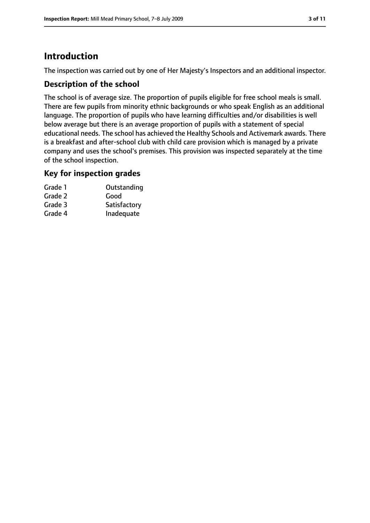# **Introduction**

The inspection was carried out by one of Her Majesty's Inspectors and an additional inspector.

#### **Description of the school**

The school is of average size. The proportion of pupils eligible for free school meals is small. There are few pupils from minority ethnic backgrounds or who speak English as an additional language. The proportion of pupils who have learning difficulties and/or disabilities is well below average but there is an average proportion of pupils with a statement of special educational needs. The school has achieved the Healthy Schools and Activemark awards. There is a breakfast and after-school club with child care provision which is managed by a private company and uses the school's premises. This provision was inspected separately at the time of the school inspection.

#### **Key for inspection grades**

| Grade 1 | Outstanding  |
|---------|--------------|
| Grade 2 | Good         |
| Grade 3 | Satisfactory |
| Grade 4 | Inadequate   |
|         |              |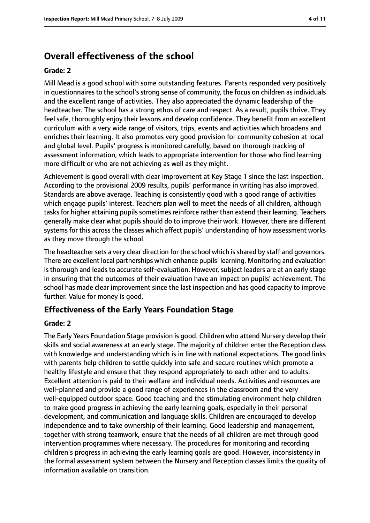# **Overall effectiveness of the school**

#### **Grade: 2**

Mill Mead is a good school with some outstanding features. Parents responded very positively in questionnaires to the school's strong sense of community, the focus on children as individuals and the excellent range of activities. They also appreciated the dynamic leadership of the headteacher. The school has a strong ethos of care and respect. As a result, pupils thrive. They feel safe, thoroughly enjoy their lessons and develop confidence. They benefit from an excellent curriculum with a very wide range of visitors, trips, events and activities which broadens and enriches their learning. It also promotes very good provision for community cohesion at local and global level. Pupils' progress is monitored carefully, based on thorough tracking of assessment information, which leads to appropriate intervention for those who find learning more difficult or who are not achieving as well as they might.

Achievement is good overall with clear improvement at Key Stage 1 since the last inspection. According to the provisional 2009 results, pupils' performance in writing has also improved. Standards are above average. Teaching is consistently good with a good range of activities which engage pupils' interest. Teachers plan well to meet the needs of all children, although tasks for higher attaining pupils sometimes reinforce rather than extend their learning. Teachers generally make clear what pupils should do to improve their work. However, there are different systems for this across the classes which affect pupils' understanding of how assessment works as they move through the school.

The headteacher sets a very clear direction for the school which is shared by staff and governors. There are excellent local partnerships which enhance pupils' learning. Monitoring and evaluation is thorough and leads to accurate self-evaluation. However, subject leaders are at an early stage in ensuring that the outcomes of their evaluation have an impact on pupils' achievement. The school has made clear improvement since the last inspection and has good capacity to improve further. Value for money is good.

### **Effectiveness of the Early Years Foundation Stage**

#### **Grade: 2**

The Early Years Foundation Stage provision is good. Children who attend Nursery develop their skills and social awareness at an early stage. The majority of children enter the Reception class with knowledge and understanding which is in line with national expectations. The good links with parents help children to settle quickly into safe and secure routines which promote a healthy lifestyle and ensure that they respond appropriately to each other and to adults. Excellent attention is paid to their welfare and individual needs. Activities and resources are well-planned and provide a good range of experiences in the classroom and the very well-equipped outdoor space. Good teaching and the stimulating environment help children to make good progress in achieving the early learning goals, especially in their personal development, and communication and language skills. Children are encouraged to develop independence and to take ownership of their learning. Good leadership and management, together with strong teamwork, ensure that the needs of all children are met through good intervention programmes where necessary. The procedures for monitoring and recording children's progress in achieving the early learning goals are good. However, inconsistency in the formal assessment system between the Nursery and Reception classes limits the quality of information available on transition.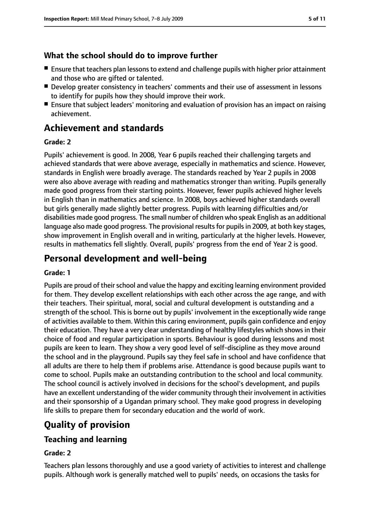### **What the school should do to improve further**

- Ensure that teachers plan lessons to extend and challenge pupils with higher prior attainment and those who are gifted or talented.
- Develop greater consistency in teachers' comments and their use of assessment in lessons to identify for pupils how they should improve their work.
- Ensure that subject leaders' monitoring and evaluation of provision has an impact on raising achievement.

# **Achievement and standards**

#### **Grade: 2**

Pupils' achievement is good. In 2008, Year 6 pupils reached their challenging targets and achieved standards that were above average, especially in mathematics and science. However, standards in English were broadly average. The standards reached by Year 2 pupils in 2008 were also above average with reading and mathematics stronger than writing. Pupils generally made good progress from their starting points. However, fewer pupils achieved higher levels in English than in mathematics and science. In 2008, boys achieved higher standards overall but girls generally made slightly better progress. Pupils with learning difficulties and/or disabilities made good progress. The small number of children who speak English as an additional language also made good progress. The provisional results for pupils in 2009, at both key stages, show improvement in English overall and in writing, particularly at the higher levels. However, results in mathematics fell slightly. Overall, pupils' progress from the end of Year 2 is good.

# **Personal development and well-being**

#### **Grade: 1**

Pupils are proud of their school and value the happy and exciting learning environment provided for them. They develop excellent relationships with each other across the age range, and with their teachers. Their spiritual, moral, social and cultural development is outstanding and a strength of the school. This is borne out by pupils' involvement in the exceptionally wide range of activities available to them. Within this caring environment, pupils gain confidence and enjoy their education. They have a very clear understanding of healthy lifestyles which shows in their choice of food and regular participation in sports. Behaviour is good during lessons and most pupils are keen to learn. They show a very good level of self-discipline as they move around the school and in the playground. Pupils say they feel safe in school and have confidence that all adults are there to help them if problems arise. Attendance is good because pupils want to come to school. Pupils make an outstanding contribution to the school and local community. The school council is actively involved in decisions for the school's development, and pupils have an excellent understanding of the wider community through their involvement in activities and their sponsorship of a Ugandan primary school. They make good progress in developing life skills to prepare them for secondary education and the world of work.

# **Quality of provision**

### **Teaching and learning**

#### **Grade: 2**

Teachers plan lessons thoroughly and use a good variety of activities to interest and challenge pupils. Although work is generally matched well to pupils' needs, on occasions the tasks for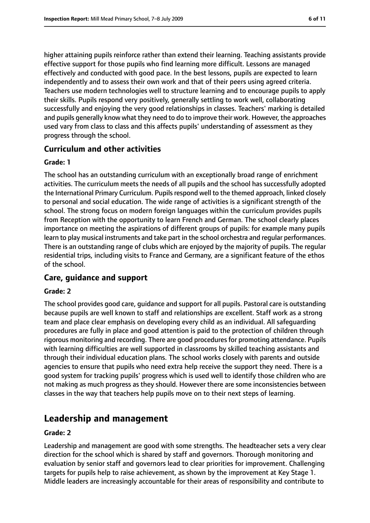higher attaining pupils reinforce rather than extend their learning. Teaching assistants provide effective support for those pupils who find learning more difficult. Lessons are managed effectively and conducted with good pace. In the best lessons, pupils are expected to learn independently and to assess their own work and that of their peers using agreed criteria. Teachers use modern technologies well to structure learning and to encourage pupils to apply their skills. Pupils respond very positively, generally settling to work well, collaborating successfully and enjoying the very good relationships in classes. Teachers' marking is detailed and pupils generally know what they need to do to improve their work. However, the approaches used vary from class to class and this affects pupils' understanding of assessment as they progress through the school.

#### **Curriculum and other activities**

#### **Grade: 1**

The school has an outstanding curriculum with an exceptionally broad range of enrichment activities. The curriculum meets the needs of all pupils and the school has successfully adopted the International Primary Curriculum. Pupils respond well to the themed approach, linked closely to personal and social education. The wide range of activities is a significant strength of the school. The strong focus on modern foreign languages within the curriculum provides pupils from Reception with the opportunity to learn French and German. The school clearly places importance on meeting the aspirations of different groups of pupils: for example many pupils learn to play musical instruments and take part in the school orchestra and regular performances. There is an outstanding range of clubs which are enjoyed by the majority of pupils. The regular residential trips, including visits to France and Germany, are a significant feature of the ethos of the school.

#### **Care, guidance and support**

#### **Grade: 2**

The school provides good care, guidance and support for all pupils. Pastoral care is outstanding because pupils are well known to staff and relationships are excellent. Staff work as a strong team and place clear emphasis on developing every child as an individual. All safeguarding procedures are fully in place and good attention is paid to the protection of children through rigorous monitoring and recording. There are good procedures for promoting attendance. Pupils with learning difficulties are well supported in classrooms by skilled teaching assistants and through their individual education plans. The school works closely with parents and outside agencies to ensure that pupils who need extra help receive the support they need. There is a good system for tracking pupils' progress which is used well to identify those children who are not making as much progress as they should. However there are some inconsistencies between classes in the way that teachers help pupils move on to their next steps of learning.

# **Leadership and management**

#### **Grade: 2**

Leadership and management are good with some strengths. The headteacher sets a very clear direction for the school which is shared by staff and governors. Thorough monitoring and evaluation by senior staff and governors lead to clear priorities for improvement. Challenging targets for pupils help to raise achievement, as shown by the improvement at Key Stage 1. Middle leaders are increasingly accountable for their areas of responsibility and contribute to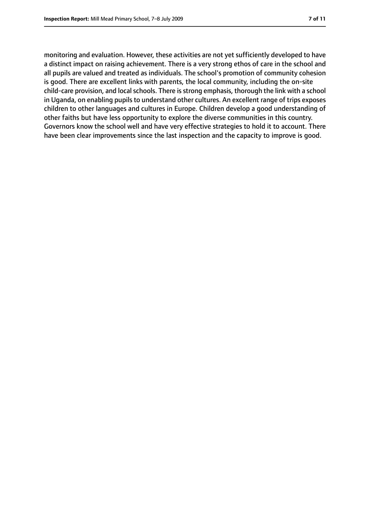monitoring and evaluation. However, these activities are not yet sufficiently developed to have a distinct impact on raising achievement. There is a very strong ethos of care in the school and all pupils are valued and treated as individuals. The school's promotion of community cohesion is good. There are excellent links with parents, the local community, including the on-site child-care provision, and local schools. There is strong emphasis, thorough the link with a school in Uganda, on enabling pupils to understand other cultures. An excellent range of trips exposes children to other languages and cultures in Europe. Children develop a good understanding of other faiths but have less opportunity to explore the diverse communities in this country. Governors know the school well and have very effective strategies to hold it to account. There have been clear improvements since the last inspection and the capacity to improve is good.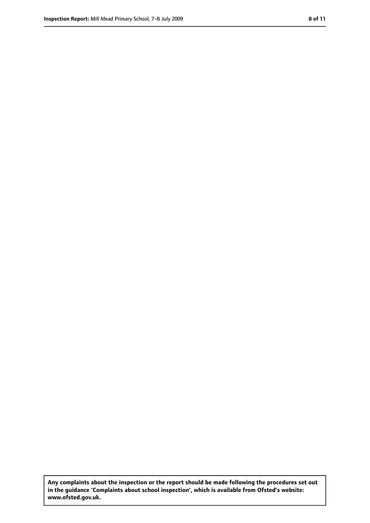**Any complaints about the inspection or the report should be made following the procedures set out in the guidance 'Complaints about school inspection', which is available from Ofsted's website: www.ofsted.gov.uk.**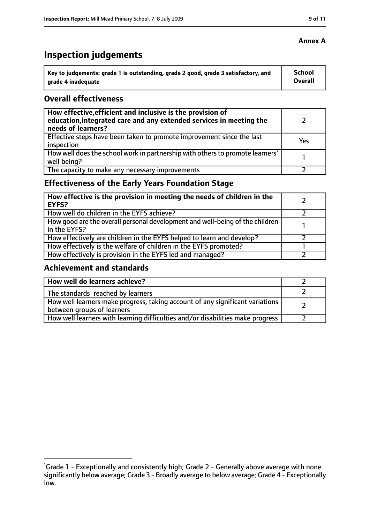# **Inspection judgements**

| \ Key to judgements: grade 1 is outstanding, grade 2 good, grade 3 satisfactory, and | <b>School</b>  |
|--------------------------------------------------------------------------------------|----------------|
| arade 4 inadequate                                                                   | <b>Overall</b> |

#### **Overall effectiveness**

| How effective, efficient and inclusive is the provision of<br>education, integrated care and any extended services in meeting the<br>needs of learners? |     |
|---------------------------------------------------------------------------------------------------------------------------------------------------------|-----|
| Effective steps have been taken to promote improvement since the last<br>inspection                                                                     | Yes |
| How well does the school work in partnership with others to promote learners'<br>well being?                                                            |     |
| The capacity to make any necessary improvements                                                                                                         |     |

# **Effectiveness of the Early Years Foundation Stage**

| How effective is the provision in meeting the needs of children in the<br>EYFS?              |  |
|----------------------------------------------------------------------------------------------|--|
| How well do children in the EYFS achieve?                                                    |  |
| How good are the overall personal development and well-being of the children<br>in the EYFS? |  |
| How effectively are children in the EYFS helped to learn and develop?                        |  |
| How effectively is the welfare of children in the EYFS promoted?                             |  |
| How effectively is provision in the EYFS led and managed?                                    |  |

#### **Achievement and standards**

| How well do learners achieve?                                                                               |  |
|-------------------------------------------------------------------------------------------------------------|--|
| The standards <sup>1</sup> reached by learners                                                              |  |
| How well learners make progress, taking account of any significant variations<br>between groups of learners |  |
| How well learners with learning difficulties and/or disabilities make progress                              |  |

### **Annex A**

<sup>&</sup>lt;sup>1</sup>Grade 1 - Exceptionally and consistently high; Grade 2 - Generally above average with none significantly below average; Grade 3 - Broadly average to below average; Grade 4 - Exceptionally low.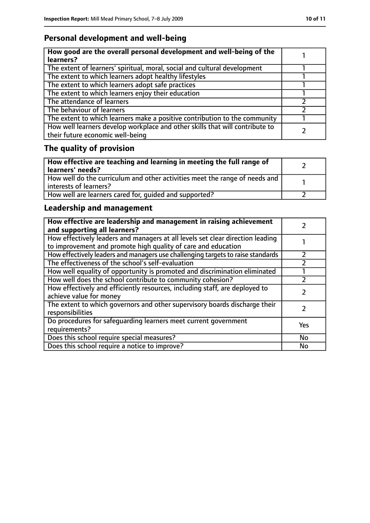# **Personal development and well-being**

| How good are the overall personal development and well-being of the<br>learners?                                 |  |
|------------------------------------------------------------------------------------------------------------------|--|
| The extent of learners' spiritual, moral, social and cultural development                                        |  |
| The extent to which learners adopt healthy lifestyles                                                            |  |
| The extent to which learners adopt safe practices                                                                |  |
| The extent to which learners enjoy their education                                                               |  |
| The attendance of learners                                                                                       |  |
| The behaviour of learners                                                                                        |  |
| The extent to which learners make a positive contribution to the community                                       |  |
| How well learners develop workplace and other skills that will contribute to<br>their future economic well-being |  |

# **The quality of provision**

| How effective are teaching and learning in meeting the full range of<br>learners' needs?              |  |
|-------------------------------------------------------------------------------------------------------|--|
| How well do the curriculum and other activities meet the range of needs and<br>interests of learners? |  |
| How well are learners cared for, quided and supported?                                                |  |

# **Leadership and management**

| How effective are leadership and management in raising achievement<br>and supporting all learners?                                              |           |
|-------------------------------------------------------------------------------------------------------------------------------------------------|-----------|
| How effectively leaders and managers at all levels set clear direction leading<br>to improvement and promote high quality of care and education |           |
| How effectively leaders and managers use challenging targets to raise standards                                                                 |           |
| The effectiveness of the school's self-evaluation                                                                                               |           |
| How well equality of opportunity is promoted and discrimination eliminated                                                                      |           |
| How well does the school contribute to community cohesion?                                                                                      |           |
| How effectively and efficiently resources, including staff, are deployed to<br>achieve value for money                                          |           |
| The extent to which governors and other supervisory boards discharge their<br>responsibilities                                                  |           |
| Do procedures for safequarding learners meet current government<br>requirements?                                                                | Yes       |
| Does this school require special measures?                                                                                                      | <b>No</b> |
| Does this school require a notice to improve?                                                                                                   | No        |